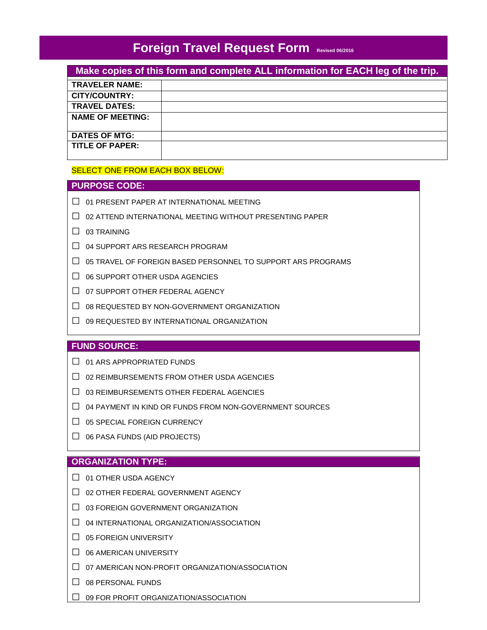# **Foreign Travel Request Form Revised 06/2016**

| Make copies of this form and complete ALL information for EACH leg of the trip. |  |
|---------------------------------------------------------------------------------|--|
| <b>TRAVELER NAME:</b>                                                           |  |
| <b>CITY/COUNTRY:</b>                                                            |  |
| <b>TRAVEL DATES:</b>                                                            |  |
| <b>NAME OF MEETING:</b>                                                         |  |
|                                                                                 |  |
| <b>DATES OF MTG:</b>                                                            |  |
| TITLE OF PAPER:                                                                 |  |
|                                                                                 |  |

## SELECT ONE FROM EACH BOX BELOW:

#### **PURPOSE CODE:**

- **□** 01 PRESENT PAPER AT INTERNATIONAL MEETING
- **□** 02 ATTEND INTERNATIONAL MEETING WITHOUT PRESENTING PAPER

## **□** 03 TRAINING

- **□** 04 SUPPORT ARS RESEARCH PROGRAM
- **□** 05 TRAVEL OF FOREIGN BASED PERSONNEL TO SUPPORT ARS PROGRAMS
- **□** 06 SUPPORT OTHER USDA AGENCIES
- **□** 07 SUPPORT OTHER FEDERAL AGENCY
- **□** 08 REQUESTED BY NON-GOVERNMENT ORGANIZATION
- **□** 09 REQUESTED BY INTERNATIONAL ORGANIZATION

#### **FUND SOURCE:**

**□** 01 ARS APPROPRIATED FUNDS

- **□** 02 REIMBURSEMENTS FROM OTHER USDA AGENCIES
- **□** 03 REIMBURSEMENTS OTHER FEDERAL AGENCIES
- **□** 04 PAYMENT IN KIND OR FUNDS FROM NON-GOVERNMENT SOURCES
- **□** 05 SPECIAL FOREIGN CURRENCY
- **□** 06 PASA FUNDS (AID PROJECTS)

## **ORGANIZATION TYPE:**

- **□** 01 OTHER USDA AGENCY
- **□** 02 OTHER FEDERAL GOVERNMENT AGENCY
- **□** 03 FOREIGN GOVERNMENT ORGANIZATION
- **□** 04 INTERNATIONAL ORGANIZATION/ASSOCIATION
- **□** 05 FOREIGN UNIVERSITY
- **□** 06 AMERICAN UNIVERSITY
- **□** 07 AMERICAN NON-PROFIT ORGANIZATION/ASSOCIATION
- **□** 08 PERSONAL FUNDS
- **□** 09 FOR PROFIT ORGANIZATION/ASSOCIATION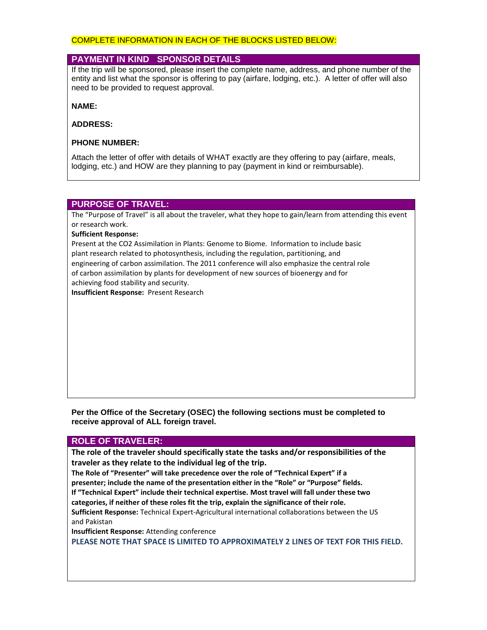#### COMPLETE INFORMATION IN EACH OF THE BLOCKS LISTED BELOW:

#### **PAYMENT IN KIND - SPONSOR DETAILS**

If the trip will be sponsored, please insert the complete name, address, and phone number of the entity and list what the sponsor is offering to pay (airfare, lodging, etc.). A letter of offer will also need to be provided to request approval.

**NAME:**

**ADDRESS:**

#### **PHONE NUMBER:**

Attach the letter of offer with details of WHAT exactly are they offering to pay (airfare, meals, lodging, etc.) and HOW are they planning to pay (payment in kind or reimbursable).

## **PURPOSE OF TRAVEL:**

The "Purpose of Travel" is all about the traveler, what they hope to gain/learn from attending this event or research work.

#### **Sufficient Response:**

Present at the CO2 Assimilation in Plants: Genome to Biome. Information to include basic plant research related to photosynthesis, including the regulation, partitioning, and engineering of carbon assimilation. The 2011 conference will also emphasize the central role of carbon assimilation by plants for development of new sources of bioenergy and for achieving food stability and security.

**Insufficient Response:** Present Research

**Per the Office of the Secretary (OSEC) the following sections must be completed to receive approval of ALL foreign travel.**

### **ROLE OF TRAVELER:**

**The role of the traveler should specifically state the tasks and/or responsibilities of the traveler as they relate to the individual leg of the trip.** 

**The Role of "Presenter" will take precedence over the role of "Technical Expert" if a presenter; include the name of the presentation either in the "Role" or "Purpose" fields.** 

**If "Technical Expert" include their technical expertise. Most travel will fall under these two** 

**categories, if neither of these roles fit the trip, explain the significance of their role.**

**Sufficient Response:** Technical Expert-Agricultural international collaborations between the US and Pakistan

**Insufficient Response:** Attending conference

**PLEASE NOTE THAT SPACE IS LIMITED TO APPROXIMATELY 2 LINES OF TEXT FOR THIS FIELD.**